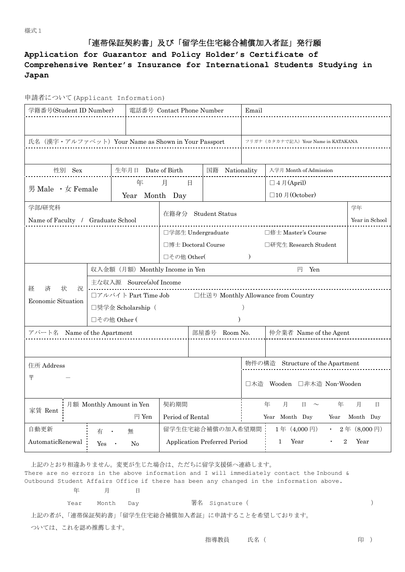## 「連帯保証契約書」及び「留学生住宅総合補償加入者証」発行願

## **Application for Guarantor and Policy Holder's Certificate of Comprehensive Renter's Insurance for International Students Studying in Japan**

| 学籍番号(Student ID Number)                             |                                                              |                    | 電話番号 Contact Phone Number            |                                              | Email                                          |                   |             |  |  |  |  |
|-----------------------------------------------------|--------------------------------------------------------------|--------------------|--------------------------------------|----------------------------------------------|------------------------------------------------|-------------------|-------------|--|--|--|--|
|                                                     |                                                              |                    |                                      |                                              |                                                |                   |             |  |  |  |  |
| 氏名 (漢字・アルファベット) Your Name as Shown in Your Passport |                                                              |                    | フリガナ (カタカナで記入) Your Name in KATAKANA |                                              |                                                |                   |             |  |  |  |  |
|                                                     |                                                              |                    |                                      |                                              |                                                |                   |             |  |  |  |  |
| 性別 Sex                                              |                                                              | 生年月日 Date of Birth | 国籍 Nationality                       |                                              | 入学月 Month of Admission                         |                   |             |  |  |  |  |
| 年<br>男 Male · 女 Female<br>Year                      |                                                              |                    | 月<br>日                               |                                              |                                                | $\Box$ 4 月(April) |             |  |  |  |  |
|                                                     |                                                              |                    | Month Day                            |                                              |                                                | □10月(October)     |             |  |  |  |  |
| 学部/研究科                                              |                                                              |                    | 在籍身分 Student Status                  |                                              |                                                |                   | 学年          |  |  |  |  |
| Name of Faculty / Graduate School                   |                                                              |                    |                                      |                                              |                                                | Year in School    |             |  |  |  |  |
|                                                     |                                                              |                    |                                      | 口学部生 Undergraduate<br>□修士 Master's Course    |                                                |                   |             |  |  |  |  |
|                                                     |                                                              |                    |                                      | □博士 Doctoral Course<br>□研究生 Research Student |                                                |                   |             |  |  |  |  |
|                                                     |                                                              |                    |                                      | □その他 Other(<br>$\mathcal{L}$                 |                                                |                   |             |  |  |  |  |
|                                                     | 円 Yen<br>収入金額 (月額) Monthly Income in Yen                     |                    |                                      |                                              |                                                |                   |             |  |  |  |  |
| 状<br>経<br>済<br>況                                    | 主な収入源 Source(s)of Income                                     |                    |                                      |                                              |                                                |                   |             |  |  |  |  |
| Economic Situation                                  | □仕送り Monthly Allowance from Country<br>□アルバイト Part Time Job  |                    |                                      |                                              |                                                |                   |             |  |  |  |  |
|                                                     |                                                              | □奨学金 Scholarship ( |                                      |                                              |                                                |                   |             |  |  |  |  |
|                                                     |                                                              | □その他 Other (       |                                      |                                              |                                                |                   |             |  |  |  |  |
| アパート名 Name of the Apartment                         |                                                              | 部屋番号 Room No.      |                                      | 仲介業者 Name of the Agent                       |                                                |                   |             |  |  |  |  |
|                                                     |                                                              |                    |                                      |                                              |                                                |                   |             |  |  |  |  |
|                                                     |                                                              |                    |                                      |                                              | 物件の構造 Structure of the Apartment               |                   |             |  |  |  |  |
| 住所 Address<br>〒                                     |                                                              |                    |                                      |                                              |                                                |                   |             |  |  |  |  |
|                                                     |                                                              |                    |                                      |                                              | □木造 Wooden □非木造 Non-Wooden                     |                   |             |  |  |  |  |
| 月額 Monthly Amount in Yen                            |                                                              |                    | 契約期間                                 |                                              | 年<br>月<br>月<br>$\Box$<br>年<br>日<br>$\sim$      |                   |             |  |  |  |  |
| 家賃 Rent                                             |                                                              | 円 Yen              | Period of Rental                     |                                              | Year Month Day<br>Month Day<br>Year            |                   |             |  |  |  |  |
| 自動更新                                                |                                                              |                    |                                      | 留学生住宅総合補償の加入希望期間                             |                                                | 1年 (4,000円)       | 2年 (8,000円) |  |  |  |  |
| AutomaticRenewal                                    | 有                                                            | 無                  |                                      |                                              | $\overline{2}$<br>Year<br>Year<br>$\mathbf{1}$ |                   |             |  |  |  |  |
|                                                     | <b>Application Preferred Period</b><br>Yes<br>N <sub>0</sub> |                    |                                      |                                              |                                                |                   |             |  |  |  |  |

上記のとおり相違ありません。変更が生じた場合は、ただちに留学支援係へ連絡します。

There are no errors in the above information and I will immediately contact the Inbound & Outbound Student Affairs Office if there has been any changed in the information above.

| 年 | 月 | 日 |
|---|---|---|
|   |   |   |

Year Month Day 署名 Signature( )

上記の者が、「連帯保証契約書」「留学生住宅総合補償加入者証」に申請することを希望しております。

ついては、これを認め推薦します。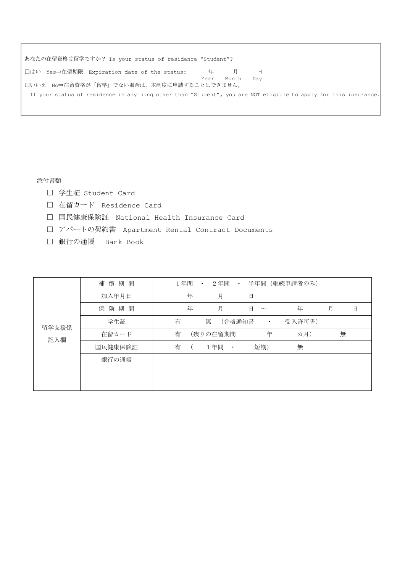| あなたの在留資格は留学ですか? Is your status of residence "Student"?                                                          |  |  |   |  |  |  |  |  |  |
|-----------------------------------------------------------------------------------------------------------------|--|--|---|--|--|--|--|--|--|
|                                                                                                                 |  |  | 日 |  |  |  |  |  |  |
| Month<br>Year<br>Dav<br>□いいえ No⇒在留資格が「留学」でない場合は、本制度に申請することはできません。                                               |  |  |   |  |  |  |  |  |  |
| If your status of residence is anything other than "Student", you are NOT eligible to apply for this insurance. |  |  |   |  |  |  |  |  |  |

添付書類

- □ 学生証 Student Card
- □ 在留カード Residence Card
- □ 国民健康保険証 National Health Insurance Card
- □ アパートの契約書 Apartment Rental Contract Documents
- □ 銀行の通帳 Bank Book

| 留学支援係<br>記入欄 | 償期間<br>補 | 1年間 | $\bullet$ | 2年間           | $\bullet$ |             | 半年間 (継続申請者のみ) |   |   |   |
|--------------|----------|-----|-----------|---------------|-----------|-------------|---------------|---|---|---|
|              | 加入年月日    | 年   |           | 月             |           | 日           |               |   |   |   |
|              | 保険期間     | 年   |           | 月             |           | 日<br>$\sim$ | 年             | 月 |   | 日 |
|              | 学生証      | 有   | 無         | (合格通知書        |           | $\bullet$   | 受入許可書)        |   |   |   |
|              | 在留カード    | 有   |           | (残りの在留期間      |           | 年           | 力月)           |   | 無 |   |
|              | 国民健康保険証  | 有   |           | 1年間<br>$\sim$ |           | 短期)         | 無             |   |   |   |
|              | 銀行の通帳    |     |           |               |           |             |               |   |   |   |
|              |          |     |           |               |           |             |               |   |   |   |
|              |          |     |           |               |           |             |               |   |   |   |